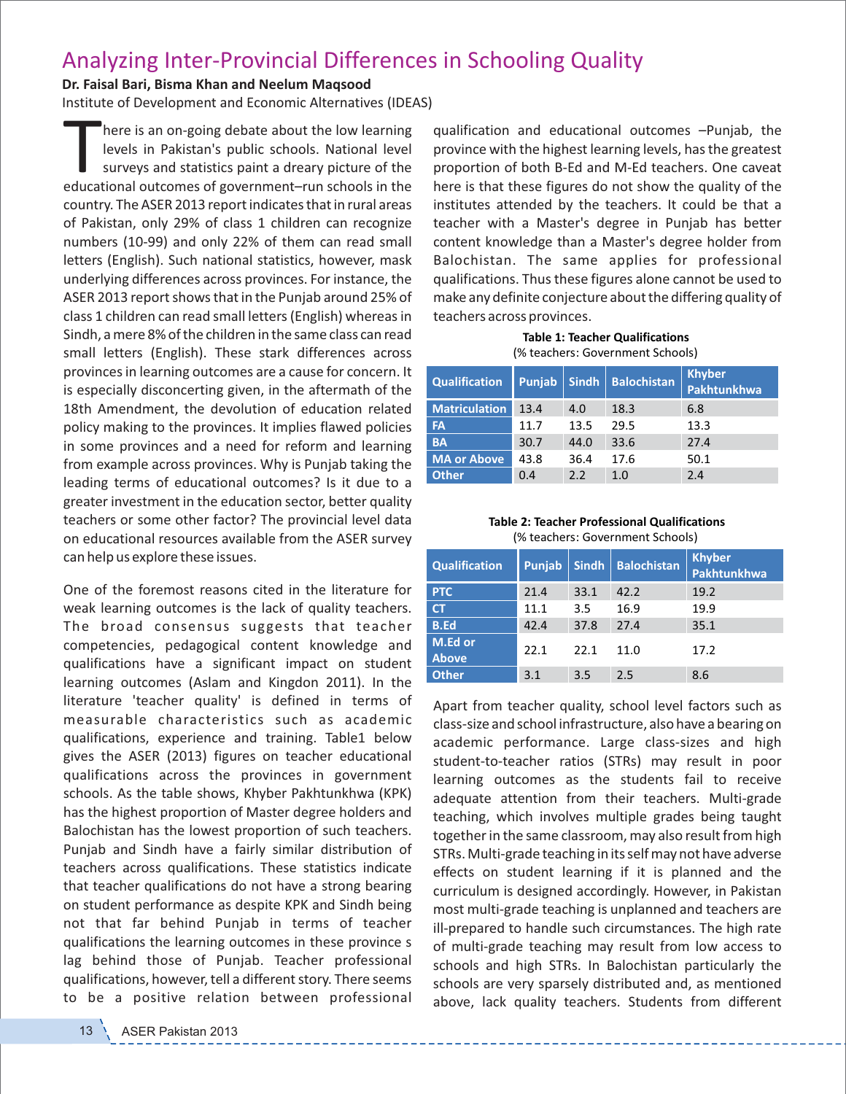## Analyzing Inter‐Provincial Differences in Schooling Quality

## **Dr. Faisal Bari, Bisma Khan and Neelum Maqsood**

Institute of Development and Economic Alternatives (IDEAS)

There is an on-going debate about the low learning<br>levels in Pakistan's public schools. National level<br>surveys and statistics paint a dreary picture of the<br>educational outcomes of government–run schools in the here is an on‐going debate about the low learning levels in Pakistan's public schools. National level surveys and statistics paint a dreary picture of the country. The ASER 2013 report indicates that in rural areas of Pakistan, only 29% of class 1 children can recognize numbers (10‐99) and only 22% of them can read small letters (English). Such national statistics, however, mask underlying differences across provinces. For instance, the ASER 2013 report shows that in the Punjab around 25% of class 1 children can read small letters (English) whereas in Sindh, a mere 8% of the children in the same class can read small letters (English). These stark differences across provinces in learning outcomes are a cause for concern. It is especially disconcerting given, in the aftermath of the 18th Amendment, the devolution of education related policy making to the provinces. It implies flawed policies in some provinces and a need for reform and learning from example across provinces. Why is Punjab taking the leading terms of educational outcomes? Is it due to a greater investment in the education sector, better quality teachers or some other factor? The provincial level data on educational resources available from the ASER survey can help us explore these issues.

One of the foremost reasons cited in the literature for weak learning outcomes is the lack of quality teachers. The broad consensus suggests that teacher competencies, pedagogical content knowledge and qualifications have a significant impact on student learning outcomes (Aslam and Kingdon 2011). In the literature 'teacher quality' is defined in terms of measurable characteristics such as academic qualifications, experience and training. Table1 below gives the ASER (2013) figures on teacher educational qualifications across the provinces in government schools. As the table shows, Khyber Pakhtunkhwa (KPK) has the highest proportion of Master degree holders and Balochistan has the lowest proportion of such teachers. Punjab and Sindh have a fairly similar distribution of teachers across qualifications. These statistics indicate that teacher qualifications do not have a strong bearing on student performance as despite KPK and Sindh being not that far behind Punjab in terms of teacher qualifications the learning outcomes in these province s lag behind those of Punjab. Teacher professional qualifications, however, tell a different story. There seems to be a positive relation between professional qualification and educational outcomes –Punjab, the province with the highest learning levels, has the greatest proportion of both B‐Ed and M‐Ed teachers. One caveat here is that these figures do not show the quality of the institutes attended by the teachers. It could be that a teacher with a Master's degree in Punjab has better content knowledge than a Master's degree holder from Balochistan. The same applies for professional qualifications. Thus these figures alone cannot be used to make any definite conjecture about the differing quality of teachers across provinces.

**Table 1: Teacher Qualifications** (% teachers: Government Schools)

| <b>Qualification</b> | <b>Punjab</b> | Sindh | <b>Balochistan</b> | <b>Khyber</b><br>Pakhtunkhwa |
|----------------------|---------------|-------|--------------------|------------------------------|
| <b>Matriculation</b> | 13.4          | 4.0   | 18.3               | 6.8                          |
| <b>FA</b>            | 11.7          | 13.5  | 29.5               | 13.3                         |
| <b>BA</b>            | 30.7          | 44.0  | 33.6               | 27.4                         |
| <b>MA or Above</b>   | 43.8          | 36.4  | 17.6               | 50.1                         |
| <b>Other</b>         | 0.4           | 2.2   | 1.0                | 2.4                          |

## **Table 2: Teacher Professional Qualifications** (% teachers: Government Schools)

| <b>Qualification</b>    | Punjab | <b>Sindh</b> | <b>Balochistan</b> | <b>Khyber</b><br>Pakhtunkhwa |
|-------------------------|--------|--------------|--------------------|------------------------------|
| <b>PTC</b>              | 21.4   | 33.1         | 42.2               | 19.2                         |
| <b>CT</b>               | 11.1   | 3.5          | 16.9               | 19.9                         |
| <b>B.Ed</b>             | 42.4   | 37.8         | 27.4               | 35.1                         |
| M.Ed or<br><b>Above</b> | 22.1   | 22.1         | 11.0               | 17.2                         |
| <b>Other</b>            | 3.1    | 3.5          | 2.5                | 8.6                          |

Apart from teacher quality, school level factors such as class‐size and school infrastructure, also have a bearing on academic performance. Large class‐sizes and high student‐to‐teacher ratios (STRs) may result in poor learning outcomes as the students fail to receive adequate attention from their teachers. Multi‐grade teaching, which involves multiple grades being taught together in the same classroom, may also result from high STRs. Multi‐grade teaching in its self may not have adverse effects on student learning if it is planned and the curriculum is designed accordingly. However, in Pakistan most multi‐grade teaching is unplanned and teachers are ill-prepared to handle such circumstances. The high rate of multi‐grade teaching may result from low access to schools and high STRs. In Balochistan particularly the schools are very sparsely distributed and, as mentioned above, lack quality teachers. Students from different